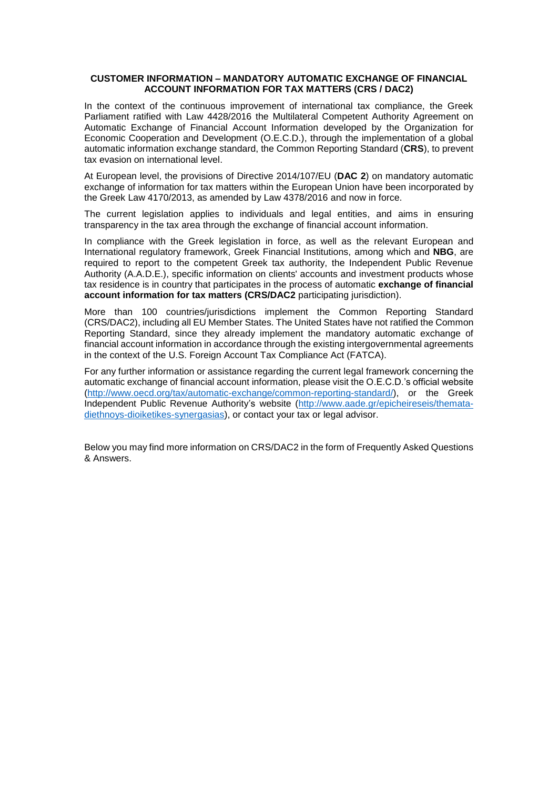#### **CUSTOMER INFORMATION – MANDATORY AUTOMATIC EXCHANGE OF FINANCIAL ACCOUNT INFORMATION FOR TAX MATTERS (CRS / DAC2)**

In the context of the continuous improvement of international tax compliance, the Greek Parliament ratified with Law 4428/2016 the Multilateral Competent Authority Agreement on Automatic Exchange of Financial Account Information developed by the Organization for Economic Cooperation and Development (O.E.C.D.), through the implementation of a global automatic information exchange standard, the Common Reporting Standard (**CRS**), to prevent tax evasion on international level.

At European level, the provisions of Directive 2014/107/EU (**DAC 2**) on mandatory automatic exchange of information for tax matters within the European Union have been incorporated by the Greek Law 4170/2013, as amended by Law 4378/2016 and now in force.

The current legislation applies to individuals and legal entities, and aims in ensuring transparency in the tax area through the exchange of financial account information.

In compliance with the Greek legislation in force, as well as the relevant European and International regulatory framework, Greek Financial Institutions, among which and **NBG**, are required to report to the competent Greek tax authority, the Independent Public Revenue Authority (A.A.D.E.), specific information on clients' accounts and investment products whose tax residence is in country that participates in the process of automatic **exchange of financial account information for tax matters (CRS/DAC2** participating jurisdiction).

More than 100 countries/jurisdictions implement the Common Reporting Standard (CRS/DAC2), including all EU Member States. The United States have not ratified the Common Reporting Standard, since they already implement the mandatory automatic exchange of financial account information in accordance through the existing intergovernmental agreements in the context of the U.S. Foreign Account Tax Compliance Act (FATCA).

For any further information or assistance regarding the current legal framework concerning the automatic exchange of financial account information, please visit the O.E.C.D.'s official website [\(http://www.oecd.org/tax/automatic-exchange/common-reporting-standard/\)](http://www.oecd.org/tax/automatic-exchange/common-reporting-standard/), or the Greek Independent Public Revenue Authority's website [\(http://www.aade.gr/epicheireseis/themata](http://www.aade.gr/epicheireseis/themata-diethnoys-dioiketikes-synergasias)[diethnoys-dioiketikes-synergasias\)](http://www.aade.gr/epicheireseis/themata-diethnoys-dioiketikes-synergasias), or contact your tax or legal advisor.

Below you may find more information on CRS/DAC2 in the form of Frequently Asked Questions & Answers.